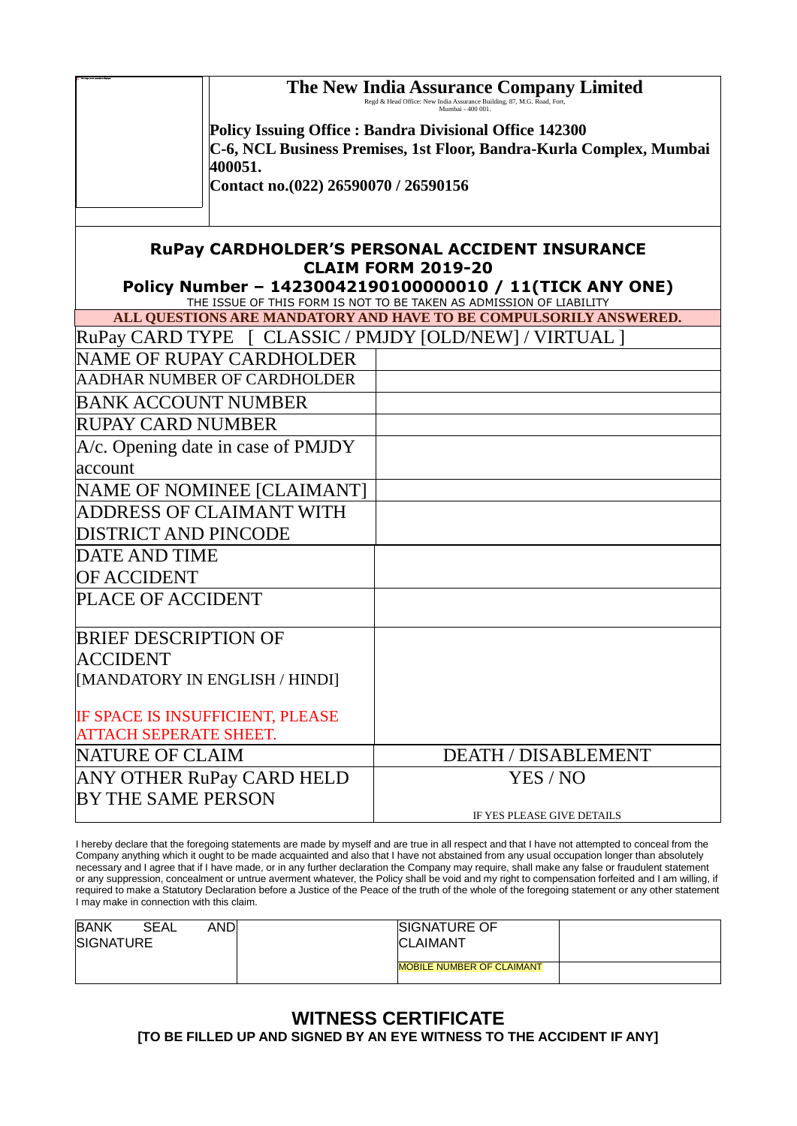|                                                                                                                                               | The New India Assurance Company Limited<br>Regd & Head Office: New India Assurance Building, 87, M.G. Road, Fort,                        |  |  |  |
|-----------------------------------------------------------------------------------------------------------------------------------------------|------------------------------------------------------------------------------------------------------------------------------------------|--|--|--|
|                                                                                                                                               | <b>Policy Issuing Office: Bandra Divisional Office 142300</b>                                                                            |  |  |  |
|                                                                                                                                               | C-6, NCL Business Premises, 1st Floor, Bandra-Kurla Complex, Mumbai                                                                      |  |  |  |
| 400051.                                                                                                                                       |                                                                                                                                          |  |  |  |
| Contact no.(022) 26590070 / 26590156                                                                                                          |                                                                                                                                          |  |  |  |
|                                                                                                                                               |                                                                                                                                          |  |  |  |
| <b>RUPAY CARDHOLDER'S PERSONAL ACCIDENT INSURANCE</b><br><b>CLAIM FORM 2019-20</b><br>Policy Number - 14230042190100000010 / 11(TICK ANY ONE) |                                                                                                                                          |  |  |  |
|                                                                                                                                               | THE ISSUE OF THIS FORM IS NOT TO BE TAKEN AS ADMISSION OF LIABILITY<br>ALL QUESTIONS ARE MANDATORY AND HAVE TO BE COMPULSORILY ANSWERED. |  |  |  |
| RuPay CARD TYPE [ CLASSIC / PMJDY [OLD/NEW] / VIRTUAL ]                                                                                       |                                                                                                                                          |  |  |  |
| <b>NAME OF RUPAY CARDHOLDER</b>                                                                                                               |                                                                                                                                          |  |  |  |
| AADHAR NUMBER OF CARDHOLDER                                                                                                                   |                                                                                                                                          |  |  |  |
| <b>BANK ACCOUNT NUMBER</b>                                                                                                                    |                                                                                                                                          |  |  |  |
| <b>RUPAY CARD NUMBER</b>                                                                                                                      |                                                                                                                                          |  |  |  |
| $A/c$ . Opening date in case of PMJDY                                                                                                         |                                                                                                                                          |  |  |  |
| account                                                                                                                                       |                                                                                                                                          |  |  |  |
| NAME OF NOMINEE [CLAIMANT]                                                                                                                    |                                                                                                                                          |  |  |  |
| ADDRESS OF CLAIMANT WITH                                                                                                                      |                                                                                                                                          |  |  |  |
| <b>DISTRICT AND PINCODE</b>                                                                                                                   |                                                                                                                                          |  |  |  |
| DATE AND TIME                                                                                                                                 |                                                                                                                                          |  |  |  |
| <b>OF ACCIDENT</b>                                                                                                                            |                                                                                                                                          |  |  |  |
| <b>PLACE OF ACCIDENT</b>                                                                                                                      |                                                                                                                                          |  |  |  |
| <b>BRIEF DESCRIPTION OF</b>                                                                                                                   |                                                                                                                                          |  |  |  |
| <b>ACCIDENT</b>                                                                                                                               |                                                                                                                                          |  |  |  |
| [MANDATORY IN ENGLISH / HINDI]                                                                                                                |                                                                                                                                          |  |  |  |
| IF SPACE IS INSUFFICIENT, PLEASE                                                                                                              |                                                                                                                                          |  |  |  |
| <b>ATTACH SEPERATE SHEET.</b>                                                                                                                 |                                                                                                                                          |  |  |  |
| <b>NATURE OF CLAIM</b>                                                                                                                        | <b>DEATH / DISABLEMENT</b>                                                                                                               |  |  |  |
| <b>ANY OTHER RuPay CARD HELD</b>                                                                                                              | YES / NO                                                                                                                                 |  |  |  |
| <b>BY THE SAME PERSON</b>                                                                                                                     |                                                                                                                                          |  |  |  |
|                                                                                                                                               | IF YES PLEASE GIVE DETAILS                                                                                                               |  |  |  |

I hereby declare that the foregoing statements are made by myself and are true in all respect and that I have not attempted to conceal from the Company anything which it ought to be made acquainted and also that I have not abstained from any usual occupation longer than absolutely necessary and I agree that if I have made, or in any further declaration the Company may require, shall make any false or fraudulent statement or any suppression, concealment or untrue averment whatever, the Policy shall be void and my right to compensation forfeited and I am willing, if required to make a Statutory Declaration before a Justice of the Peace of the truth of the whole of the foregoing statement or any other statement I may make in connection with this claim.

| <b>BANK</b><br><b>SEAL</b><br>AND<br><b>SIGNATURE</b> | <b>SIGNATURE OF</b><br>CLAIMANT  |  |
|-------------------------------------------------------|----------------------------------|--|
|                                                       | <b>MOBILE NUMBER OF CLAIMANT</b> |  |

## **WITNESS CERTIFICATE [TO BE FILLED UP AND SIGNED BY AN EYE WITNESS TO THE ACCIDENT IF ANY]**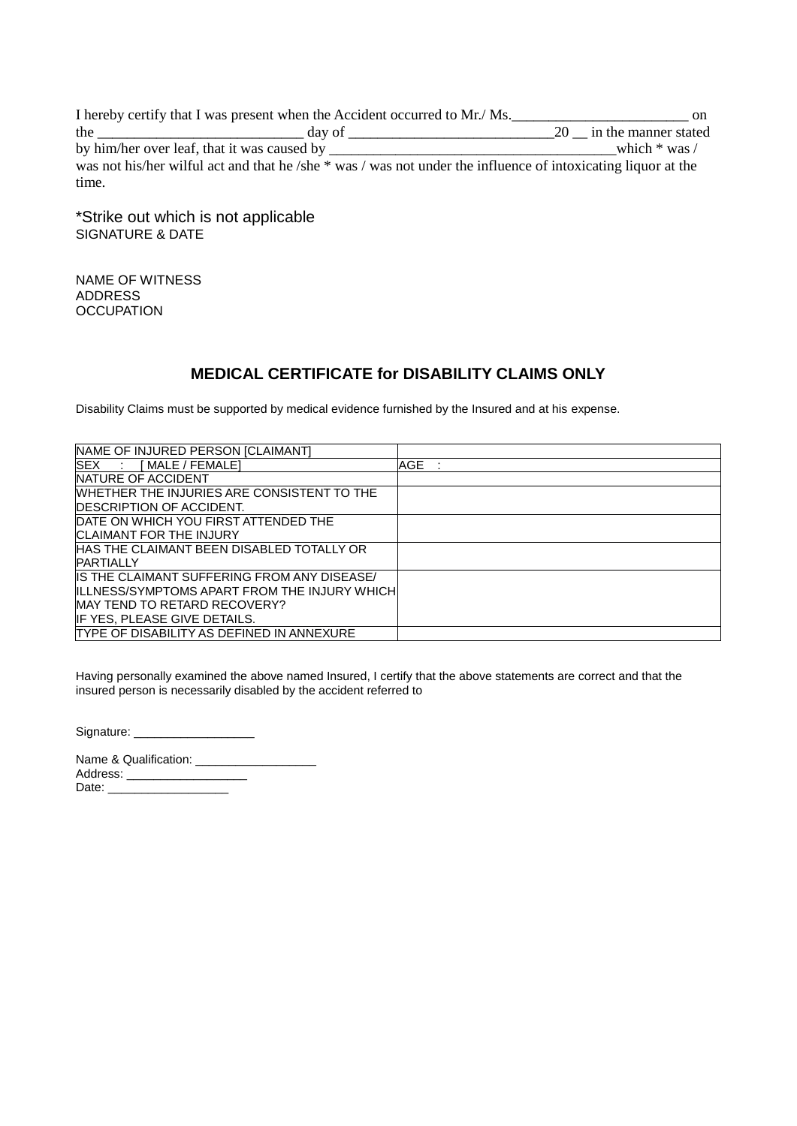|                                                                                                                        | I hereby certify that I was present when the Accident occurred to Mr./ Ms. |     | on                   |  |
|------------------------------------------------------------------------------------------------------------------------|----------------------------------------------------------------------------|-----|----------------------|--|
| the                                                                                                                    | day of                                                                     | 20. | in the manner stated |  |
|                                                                                                                        | by him/her over leaf, that it was caused by                                |     | which $*$ was /      |  |
| was not his/her wilful act and that he /she * was / was not under the influence of intoxicating liquor at the<br>time. |                                                                            |     |                      |  |

\*Strike out which is not applicable SIGNATURE & DATE

NAME OF WITNESS ADDRESS **OCCUPATION** 

## **MEDICAL CERTIFICATE for DISABILITY CLAIMS ONLY**

Disability Claims must be supported by medical evidence furnished by the Insured and at his expense.

| NAME OF INJURED PERSON [CLAIMANT]                    |       |
|------------------------------------------------------|-------|
| SEX :<br>[MALE / FEMALE]                             | AGE : |
| NATURE OF ACCIDENT                                   |       |
| WHETHER THE INJURIES ARE CONSISTENT TO THE           |       |
| <b>IDESCRIPTION OF ACCIDENT.</b>                     |       |
| DATE ON WHICH YOU FIRST ATTENDED THE                 |       |
| <b>CLAIMANT FOR THE INJURY</b>                       |       |
| <b>HAS THE CLAIMANT BEEN DISABLED TOTALLY OR</b>     |       |
| <b>PARTIALLY</b>                                     |       |
| IS THE CLAIMANT SUFFERING FROM ANY DISEASE/          |       |
| <b>ILLINESS/SYMPTOMS APART FROM THE INJURY WHICH</b> |       |
| MAY TEND TO RETARD RECOVERY?                         |       |
| IF YES, PLEASE GIVE DETAILS.                         |       |
| <b>TYPE OF DISABILITY AS DEFINED IN ANNEXURE</b>     |       |

Having personally examined the above named Insured, I certify that the above statements are correct and that the insured person is necessarily disabled by the accident referred to

Name & Qualification: \_\_\_\_\_\_\_\_\_\_\_\_\_\_\_\_\_\_ Address: \_\_\_\_\_\_\_\_\_\_\_\_\_\_\_\_\_\_ Date: \_\_\_\_\_\_\_\_\_\_\_\_\_\_\_\_\_\_